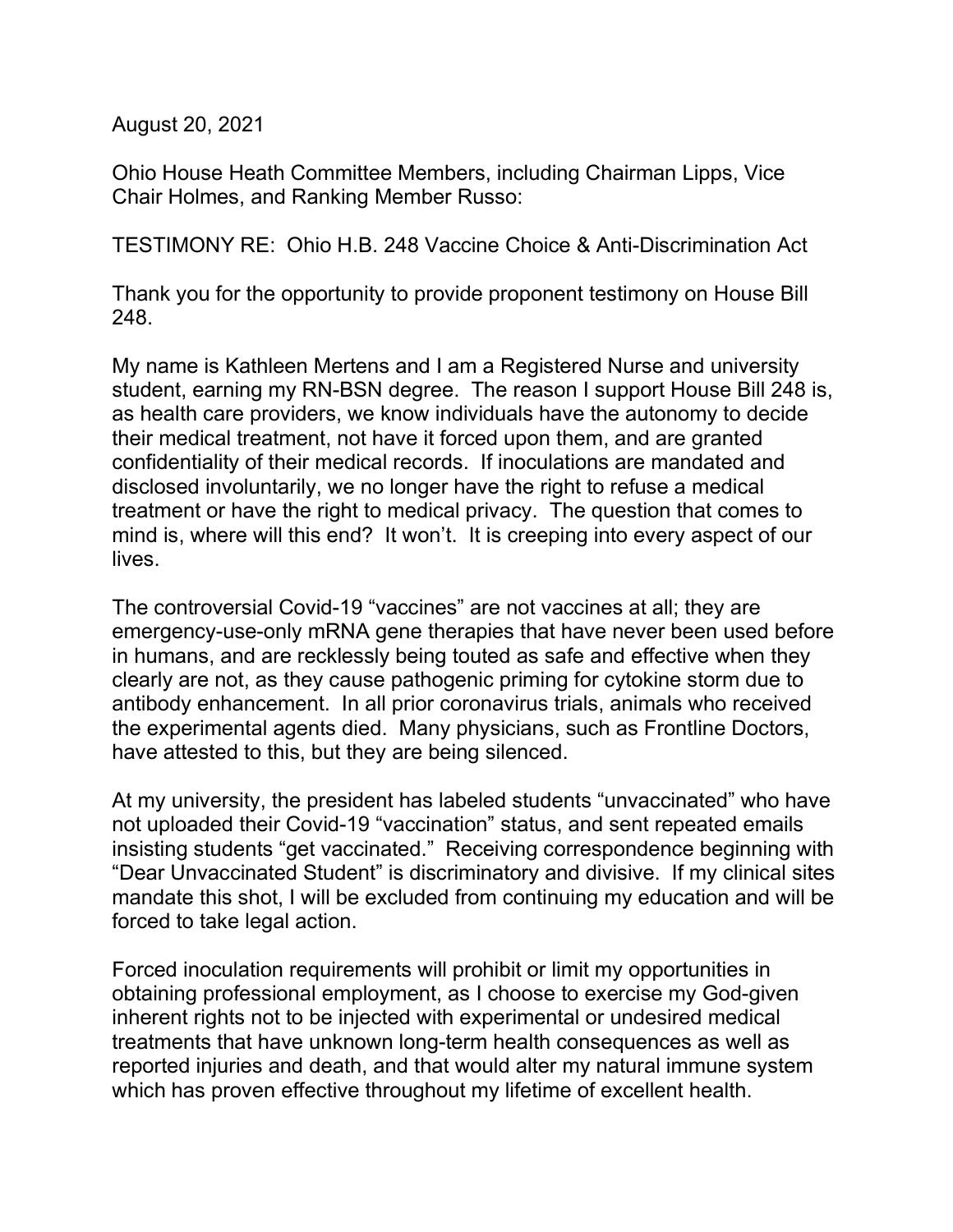August 20, 2021

Ohio House Heath Committee Members, including Chairman Lipps, Vice Chair Holmes, and Ranking Member Russo:

TESTIMONY RE: Ohio H.B. 248 Vaccine Choice & Anti-Discrimination Act

Thank you for the opportunity to provide proponent testimony on House Bill 248.

My name is Kathleen Mertens and I am a Registered Nurse and university student, earning my RN-BSN degree. The reason I support House Bill 248 is, as health care providers, we know individuals have the autonomy to decide their medical treatment, not have it forced upon them, and are granted confidentiality of their medical records. If inoculations are mandated and disclosed involuntarily, we no longer have the right to refuse a medical treatment or have the right to medical privacy. The question that comes to mind is, where will this end? It won't. It is creeping into every aspect of our lives.

The controversial Covid-19 "vaccines" are not vaccines at all; they are emergency-use-only mRNA gene therapies that have never been used before in humans, and are recklessly being touted as safe and effective when they clearly are not, as they cause pathogenic priming for cytokine storm due to antibody enhancement. In all prior coronavirus trials, animals who received the experimental agents died. Many physicians, such as Frontline Doctors, have attested to this, but they are being silenced.

At my university, the president has labeled students "unvaccinated" who have not uploaded their Covid-19 "vaccination" status, and sent repeated emails insisting students "get vaccinated." Receiving correspondence beginning with "Dear Unvaccinated Student" is discriminatory and divisive. If my clinical sites mandate this shot, I will be excluded from continuing my education and will be forced to take legal action.

Forced inoculation requirements will prohibit or limit my opportunities in obtaining professional employment, as I choose to exercise my God-given inherent rights not to be injected with experimental or undesired medical treatments that have unknown long-term health consequences as well as reported injuries and death, and that would alter my natural immune system which has proven effective throughout my lifetime of excellent health.